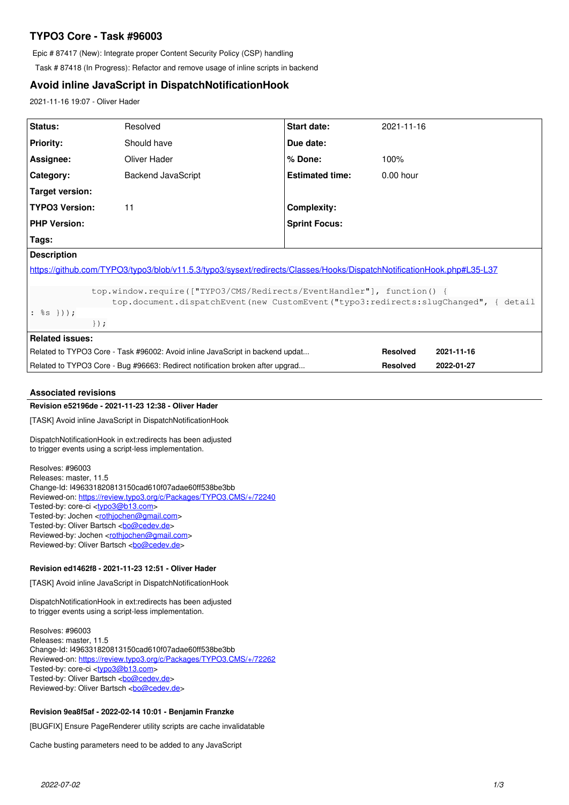# **TYPO3 Core - Task #96003**

Epic # 87417 (New): Integrate proper Content Security Policy (CSP) handling

Task # 87418 (In Progress): Refactor and remove usage of inline scripts in backend

# **Avoid inline JavaScript in DispatchNotificationHook**

2021-11-16 19:07 - Oliver Hader

| Status:                                                                                                                                                                                   | Resolved                  | <b>Start date:</b>     | 2021-11-16      |            |
|-------------------------------------------------------------------------------------------------------------------------------------------------------------------------------------------|---------------------------|------------------------|-----------------|------------|
| <b>Priority:</b>                                                                                                                                                                          | Should have               | Due date:              |                 |            |
| Assignee:                                                                                                                                                                                 | Oliver Hader              | $%$ Done:              | 100%            |            |
| Category:                                                                                                                                                                                 | <b>Backend JavaScript</b> | <b>Estimated time:</b> | $0.00$ hour     |            |
| Target version:                                                                                                                                                                           |                           |                        |                 |            |
| <b>TYPO3 Version:</b>                                                                                                                                                                     | 11                        | Complexity:            |                 |            |
| <b>PHP Version:</b>                                                                                                                                                                       |                           | <b>Sprint Focus:</b>   |                 |            |
| Tags:                                                                                                                                                                                     |                           |                        |                 |            |
| <b>Description</b>                                                                                                                                                                        |                           |                        |                 |            |
| https://github.com/TYPO3/typo3/blob/v11.5.3/typo3/sysext/redirects/Classes/Hooks/DispatchNotificationHook.php#L35-L37                                                                     |                           |                        |                 |            |
| top.window.require(["TYPO3/CMS/Redirects/EventHandler"], function() {<br>top.document.dispatchEvent(new CustomEvent("typo3:redirects:slugChanged", { detail<br>: $s s$ } ) ) ;<br>$\}$ ); |                           |                        |                 |            |
| <b>Related issues:</b>                                                                                                                                                                    |                           |                        |                 |            |
| Related to TYPO3 Core - Task #96002: Avoid inline JavaScript in backend updat                                                                                                             |                           |                        | <b>Resolved</b> | 2021-11-16 |
| Related to TYPO3 Core - Bug #96663: Redirect notification broken after upgrad                                                                                                             |                           |                        | <b>Resolved</b> | 2022-01-27 |

# **Associated revisions**

# **Revision e52196de - 2021-11-23 12:38 - Oliver Hader**

[TASK] Avoid inline JavaScript in DispatchNotificationHook

DispatchNotificationHook in ext:redirects has been adjusted to trigger events using a script-less implementation.

Resolves: #96003 Releases: master, 11.5 Change-Id: I496331820813150cad610f07adae60ff538be3bb Reviewed-on:<https://review.typo3.org/c/Packages/TYPO3.CMS/+/72240> Tested-by: core-ci [<typo3@b13.com](mailto:typo3@b13.com)> Tested-by: Jochen <[rothjochen@gmail.com>](mailto:rothjochen@gmail.com) Tested-by: Oliver Bartsch <br/> <br/> <br/> <br/> <br/>Cedev.de> Reviewed-by: Jochen <[rothjochen@gmail.com](mailto:rothjochen@gmail.com)> Reviewed-by: Oliver Bartsch <br/> <br/> <br/> <br/> <br/>Condended <br/><br/>Spaced <br/>example of the  $\sim$ 

## **Revision ed1462f8 - 2021-11-23 12:51 - Oliver Hader**

[TASK] Avoid inline JavaScript in DispatchNotificationHook

DispatchNotificationHook in ext:redirects has been adjusted to trigger events using a script-less implementation.

Resolves: #96003 Releases: master, 11.5 Change-Id: I496331820813150cad610f07adae60ff538be3bb Reviewed-on:<https://review.typo3.org/c/Packages/TYPO3.CMS/+/72262> Tested-by: core-ci [<typo3@b13.com](mailto:typo3@b13.com)> Tested-by: Oliver Bartsch <br/> <br/> <br/> <br/>Condev.de> Reviewed-by: Oliver Bartsch <br/> <br/> <br/> <br/> <br/> <br/> <br/> <br/> <br/> <br/> <br/> <br/> <br/> <br/> <br/> <br/><br/> $\label{eq:2}$ 

## **Revision 9ea8f5af - 2022-02-14 10:01 - Benjamin Franzke**

[BUGFIX] Ensure PageRenderer utility scripts are cache invalidatable

Cache busting parameters need to be added to any JavaScript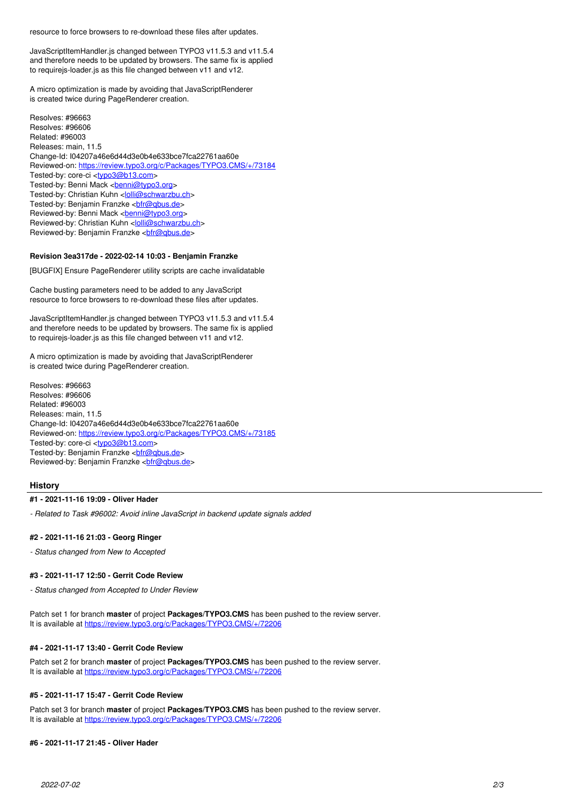resource to force browsers to re-download these files after updates.

JavaScriptItemHandler.js changed between TYPO3 v11.5.3 and v11.5.4 and therefore needs to be updated by browsers. The same fix is applied to requirejs-loader.js as this file changed between v11 and v12.

A micro optimization is made by avoiding that JavaScriptRenderer is created twice during PageRenderer creation.

Resolves: #96663 Resolves: #96606 Related: #96003 Releases: main, 11.5 Change-Id: I04207a46e6d44d3e0b4e633bce7fca22761aa60e Reviewed-on:<https://review.typo3.org/c/Packages/TYPO3.CMS/+/73184> Tested-by: core-ci [<typo3@b13.com](mailto:typo3@b13.com)> Tested-by: Benni Mack <br />
<u>benni@typo3.org</u>> Tested-by: Christian Kuhn <*[lolli@schwarzbu.ch](mailto:lolli@schwarzbu.ch)>* Tested-by: Benjamin Franzke <br />
chicogobus.de> Reviewed-by: Benni Mack <br /> **[benni@typo3.org>](mailto:benni@typo3.org)** Reviewed-by: Christian Kuhn [<lolli@schwarzbu.ch>](mailto:lolli@schwarzbu.ch) Reviewed-by: Benjamin Franzke <br />
chir@qbus.de>

## **Revision 3ea317de - 2022-02-14 10:03 - Benjamin Franzke**

[BUGFIX] Ensure PageRenderer utility scripts are cache invalidatable

Cache busting parameters need to be added to any JavaScript resource to force browsers to re-download these files after updates.

JavaScriptItemHandler.js changed between TYPO3 v11.5.3 and v11.5.4 and therefore needs to be updated by browsers. The same fix is applied to requirejs-loader.js as this file changed between v11 and v12.

A micro optimization is made by avoiding that JavaScriptRenderer is created twice during PageRenderer creation.

Resolves: #96663 Resolves: #96606 Related: #96003 Releases: main, 11.5 Change-Id: I04207a46e6d44d3e0b4e633bce7fca22761aa60e Reviewed-on:<https://review.typo3.org/c/Packages/TYPO3.CMS/+/73185> Tested-by: core-ci [<typo3@b13.com](mailto:typo3@b13.com)> Tested-by: Benjamin Franzke <br />
chir@qbus.de> Reviewed-by: Benjamin Franzke <br />
chir@qbus.de>

# **History**

## **#1 - 2021-11-16 19:09 - Oliver Hader**

*- Related to Task #96002: Avoid inline JavaScript in backend update signals added*

## **#2 - 2021-11-16 21:03 - Georg Ringer**

*- Status changed from New to Accepted*

## **#3 - 2021-11-17 12:50 - Gerrit Code Review**

*- Status changed from Accepted to Under Review*

Patch set 1 for branch **master** of project **Packages/TYPO3.CMS** has been pushed to the review server. It is available at <https://review.typo3.org/c/Packages/TYPO3.CMS/+/72206>

## **#4 - 2021-11-17 13:40 - Gerrit Code Review**

Patch set 2 for branch **master** of project **Packages/TYPO3.CMS** has been pushed to the review server. It is available at <https://review.typo3.org/c/Packages/TYPO3.CMS/+/72206>

## **#5 - 2021-11-17 15:47 - Gerrit Code Review**

Patch set 3 for branch **master** of project **Packages/TYPO3.CMS** has been pushed to the review server. It is available at <https://review.typo3.org/c/Packages/TYPO3.CMS/+/72206>

#### **#6 - 2021-11-17 21:45 - Oliver Hader**